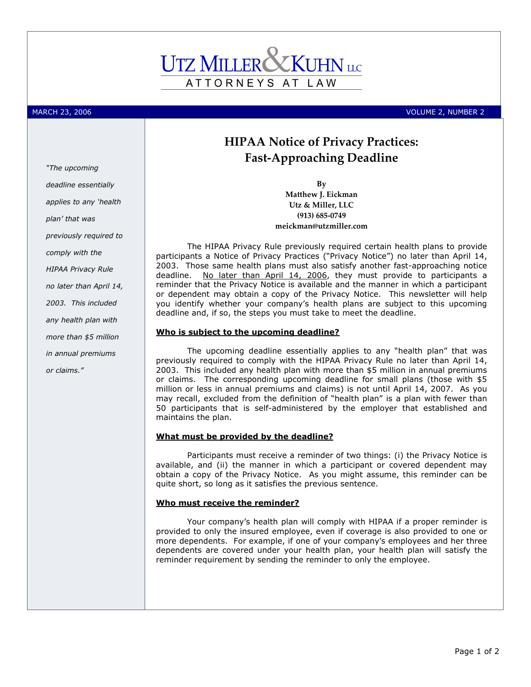

MARCH 23, 2006 VOLUME 2, NUMBER 2

# HIPAA Notice of Privacy Practices: Fast-Approaching Deadline

By Matthew J. Eickman Utz & Miller, LLC (913) 685-0749 meickman@utzmiller.com

The HIPAA Privacy Rule previously required certain health plans to provide participants a Notice of Privacy Practices ("Privacy Notice") no later than April 14, 2003. Those same health plans must also satisfy another fast-approaching notice deadline. No later than April 14, 2006, they must provide to participants a reminder that the Privacy Notice is available and the manner in which a participant or dependent may obtain a copy of the Privacy Notice. This newsletter will help you identify whether your company's health plans are subject to this upcoming deadline and, if so, the steps you must take to meet the deadline.

#### Who is subject to the upcoming deadline?

The upcoming deadline essentially applies to any "health plan" that was previously required to comply with the HIPAA Privacy Rule no later than April 14, 2003. This included any health plan with more than \$5 million in annual premiums or claims. The corresponding upcoming deadline for small plans (those with \$5 million or less in annual premiums and claims) is not until April 14, 2007. As you may recall, excluded from the definition of "health plan" is a plan with fewer than 50 participants that is self-administered by the employer that established and maintains the plan.

#### What must be provided by the deadline?

Participants must receive a reminder of two things: (i) the Privacy Notice is available, and (ii) the manner in which a participant or covered dependent may obtain a copy of the Privacy Notice. As you might assume, this reminder can be quite short, so long as it satisfies the previous sentence.

### Who must receive the reminder?

Your company's health plan will comply with HIPAA if a proper reminder is provided to only the insured employee, even if coverage is also provided to one or more dependents. For example, if one of your company's employees and her three dependents are covered under your health plan, your health plan will satisfy the reminder requirement by sending the reminder to only the employee.

"The upcoming deadline essentially applies to any 'health plan' that was previously required to comply with the HIPAA Privacy Rule no later than April 14, 2003. This included any health plan with more than \$5 million in annual premiums or claims."